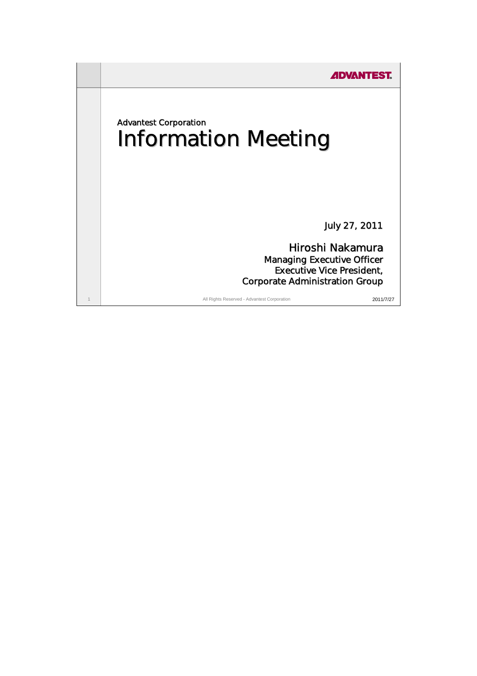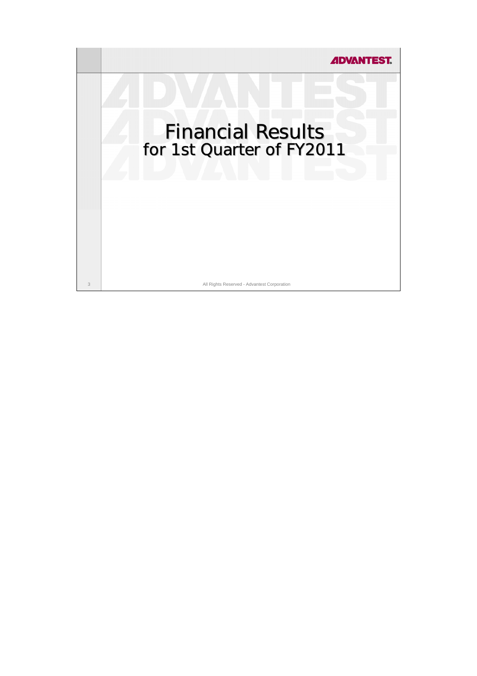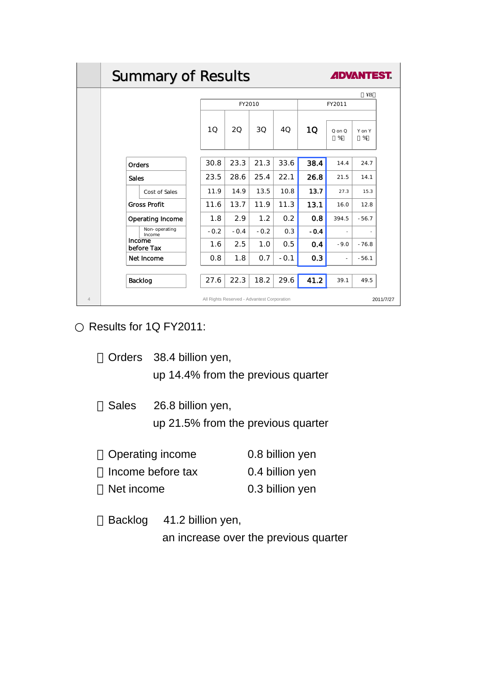|                | <b>Summary of Results</b><br><b>ADVANTEST.</b>           |        |        |        |        |        |                          |                |  |
|----------------|----------------------------------------------------------|--------|--------|--------|--------|--------|--------------------------|----------------|--|
|                |                                                          | ¥B     |        |        |        |        |                          |                |  |
|                |                                                          |        | FY2010 |        |        | FY2011 |                          |                |  |
|                |                                                          | 10     | 20     | 30     | 40     | 1Q     | $Q$ on $Q$<br>%          | Y on Y<br>%    |  |
|                | <b>Orders</b>                                            | 30.8   | 23.3   | 21.3   | 33.6   | 38.4   | 14.4                     | 24.7           |  |
|                | <b>Sales</b>                                             | 23.5   | 28.6   | 25.4   | 22.1   | 26.8   | 21.5                     | 14.1           |  |
|                | Cost of Sales                                            | 11.9   | 14.9   | 13.5   | 10.8   | 13.7   | 27.3                     | 15.3           |  |
|                | <b>Gross Profit</b>                                      | 11.6   | 13.7   | 11.9   | 11.3   | 13.1   | 16.0                     | 12.8           |  |
|                | <b>Operating Income</b>                                  | 1.8    | 2.9    | 1.2    | 0.2    | 0.8    | 394.5                    | $-56.7$        |  |
|                | Non-operating<br>Income                                  | $-0.2$ | $-0.4$ | $-0.2$ | 0.3    | $-0.4$ | $\overline{\phantom{a}}$ | $\overline{a}$ |  |
|                | Income<br>before Tax                                     | 1.6    | 2.5    | 1.0    | 0.5    | 0.4    | $-9.0$                   | $-76.8$        |  |
|                | Net Income                                               | 0.8    | 1.8    | 0.7    | $-0.1$ | 0.3    | $\overline{\phantom{a}}$ | $-56.1$        |  |
|                | Backlog                                                  | 27.6   | 22.3   | 18.2   | 29.6   | 41.2   | 39.1                     | 49.5           |  |
| $\overline{4}$ | All Rights Reserved - Advantest Corporation<br>2011/7/27 |        |        |        |        |        |                          |                |  |

Results for 1Q FY2011:

- Orders 38.4 billion yen, up 14.4% from the previous quarter
- Sales 26.8 billion yen, up 21.5% from the previous quarter

| Operating income  | 0.8 billion yen |
|-------------------|-----------------|
| Income before tax | 0.4 billion yen |
| Net income        | 0.3 billion yen |

Backlog 41.2 billion yen, an increase over the previous quarter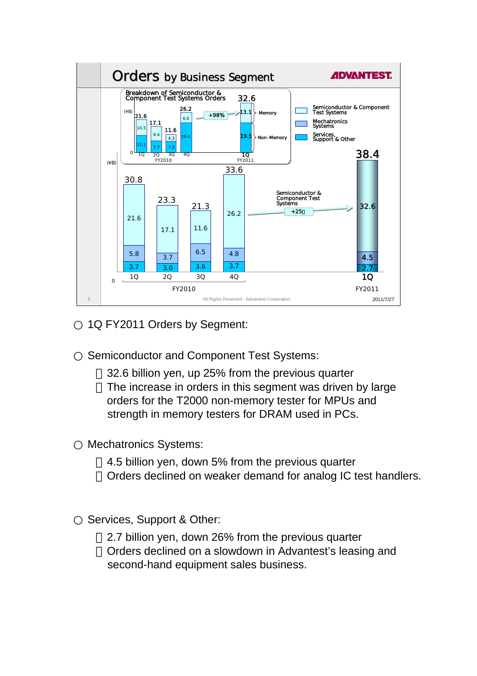

1Q FY2011 Orders by Segment:

Semiconductor and Component Test Systems:

32.6 billion yen, up 25% from the previous quarter The increase in orders in this segment was driven by large orders for the T2000 non-memory tester for MPUs and strength in memory testers for DRAM used in PCs.

Mechatronics Systems:

4.5 billion yen, down 5% from the previous quarter Orders declined on weaker demand for analog IC test handlers.

Services, Support & Other:

2.7 billion yen, down 26% from the previous quarter Orders declined on a slowdown in Advantest's leasing and second-hand equipment sales business.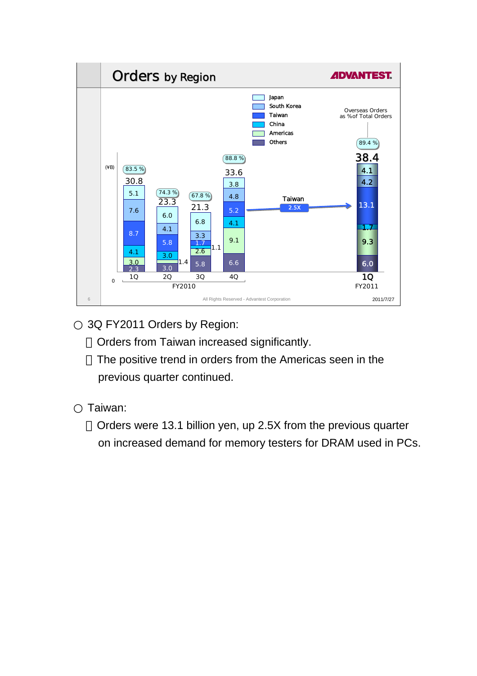

3Q FY2011 Orders by Region:

Orders from Taiwan increased significantly.

The positive trend in orders from the Americas seen in the previous quarter continued.

Taiwan:

Orders were 13.1 billion yen, up 2.5X from the previous quarter on increased demand for memory testers for DRAM used in PCs.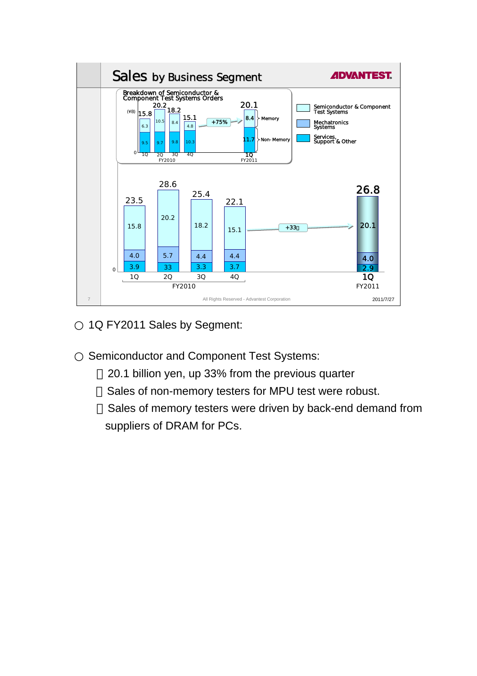

1Q FY2011 Sales by Segment:

Semiconductor and Component Test Systems:

20.1 billion yen, up 33% from the previous quarter Sales of non-memory testers for MPU test were robust. Sales of memory testers were driven by back-end demand from suppliers of DRAM for PCs.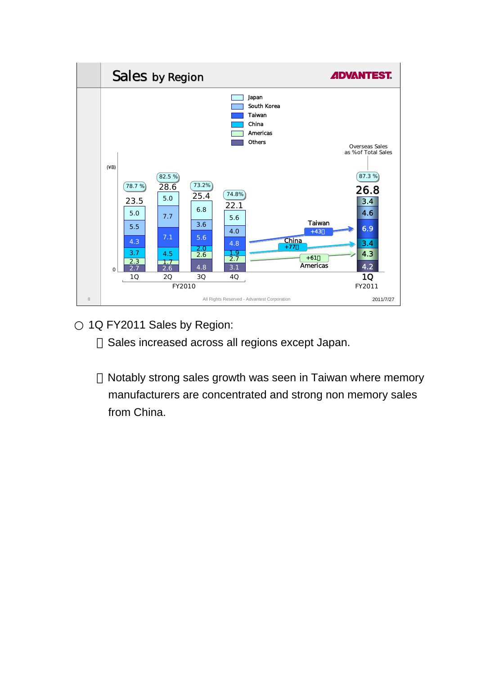

1Q FY2011 Sales by Region:

Sales increased across all regions except Japan.

Notably strong sales growth was seen in Taiwan where memory manufacturers are concentrated and strong non memory sales from China.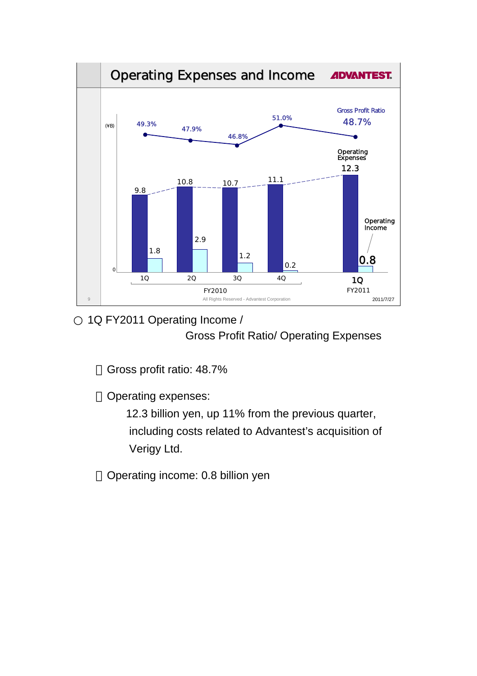

## 1Q FY2011 Operating Income / Gross Profit Ratio/ Operating Expenses

Gross profit ratio: 48.7%

Operating expenses:

12.3 billion yen, up 11% from the previous quarter, including costs related to Advantest's acquisition of Verigy Ltd.

Operating income: 0.8 billion yen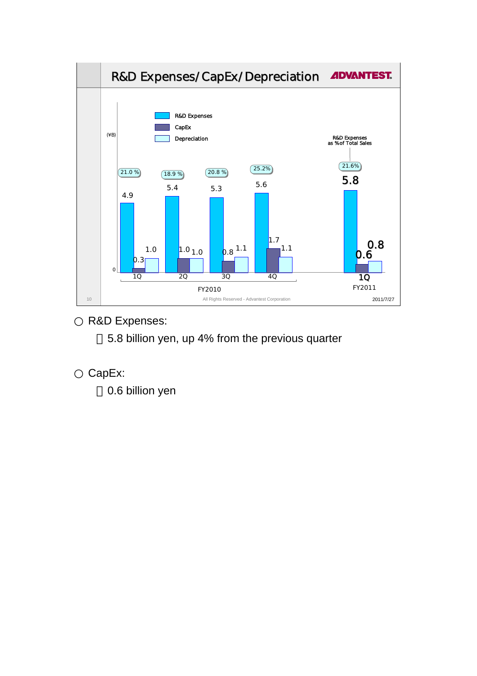

R&D Expenses:

5.8 billion yen, up 4% from the previous quarter

CapEx:

0.6 billion yen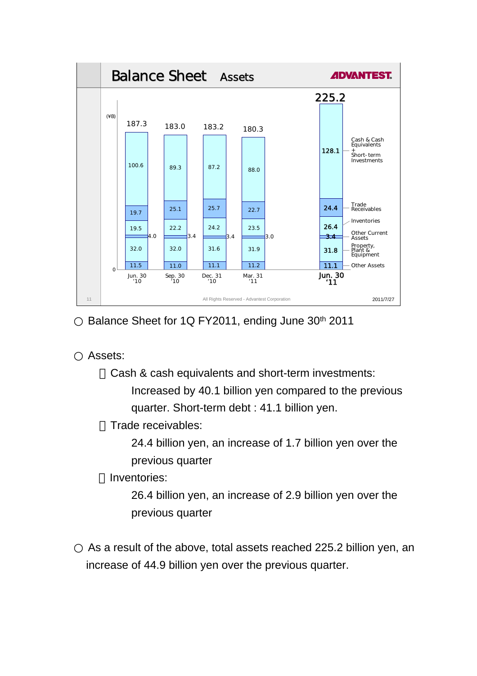

Balance Sheet for 1Q FY2011, ending June 30<sup>th</sup> 2011

Assets:

Cash & cash equivalents and short-term investments:

Increased by 40.1 billion yen compared to the previous quarter. Short-term debt : 41.1 billion yen.

Trade receivables:

24.4 billion yen, an increase of 1.7 billion yen over the previous quarter

Inventories:

26.4 billion yen, an increase of 2.9 billion yen over the previous quarter

As a result of the above, total assets reached 225.2 billion yen, an increase of 44.9 billion yen over the previous quarter.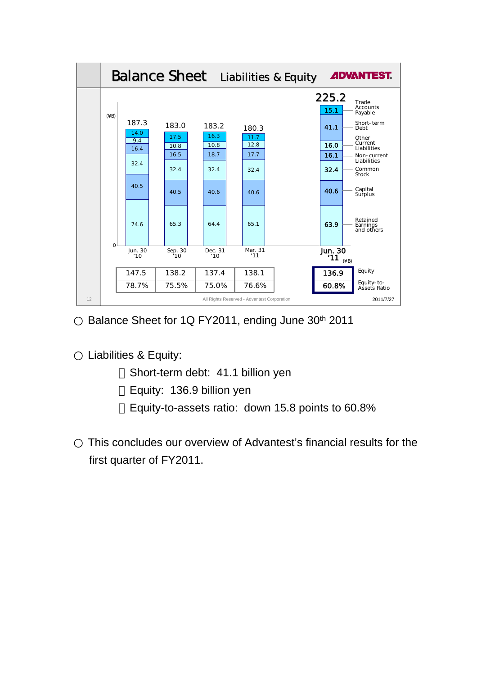

Balance Sheet for 1Q FY2011, ending June 30<sup>th</sup> 2011

Liabilities & Equity:

Short-term debt: 41.1 billion yen Equity: 136.9 billion yen Equity-to-assets ratio: down 15.8 points to 60.8%

This concludes our overview of Advantest's financial results for the first quarter of FY2011.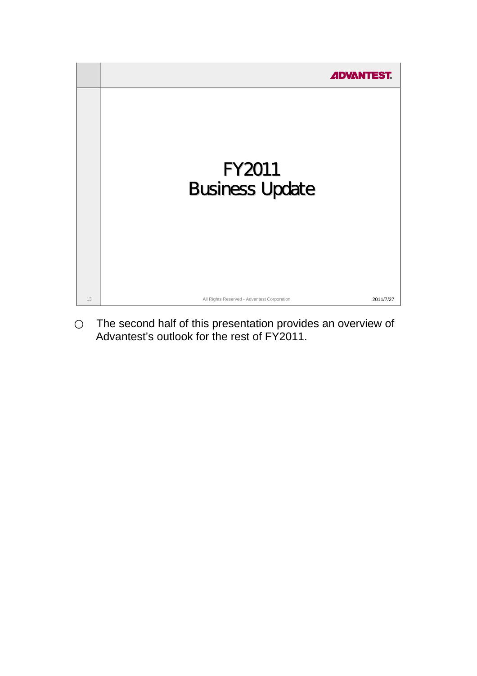

The second half of this presentation provides an overview of Advantest's outlook for the rest of FY2011.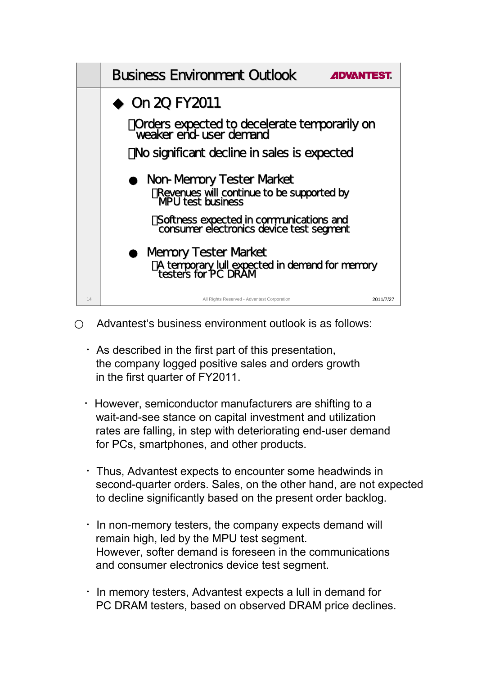

Advantest's business environment outlook is as follows:

- $\cdot$  As described in the first part of this presentation, the company logged positive sales and orders growth in the first quarter of FY2011.
- ・However, semiconductor manufacturers are shifting to a wait-and-see stance on capital investment and utilization rates are falling, in step with deteriorating end-user demand for PCs, smartphones, and other products.
- ・Thus, Advantest expects to encounter some headwinds in second-quarter orders. Sales, on the other hand, are not expected to decline significantly based on the present order backlog.
- $\cdot$  In non-memory testers, the company expects demand will remain high, led by the MPU test segment. However, softer demand is foreseen in the communications and consumer electronics device test segment.
- $\cdot$  In memory testers, Advantest expects a lull in demand for PC DRAM testers, based on observed DRAM price declines.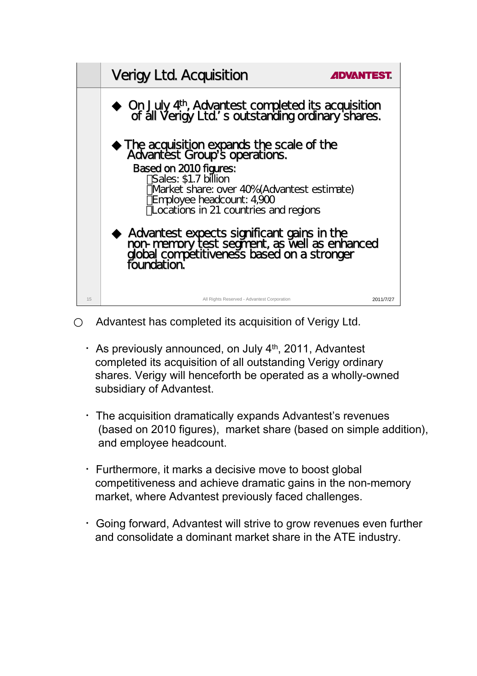

Advantest has completed its acquisition of Verigy Ltd.

- $\cdot$  As previously announced, on July 4<sup>th</sup>, 2011, Advantest completed its acquisition of all outstanding Verigy ordinary shares. Verigy will henceforth be operated as a wholly-owned subsidiary of Advantest.
- ・The acquisition dramatically expands Advantest's revenues (based on 2010 figures), market share (based on simple addition), and employee headcount.
- ・Furthermore, it marks a decisive move to boost global competitiveness and achieve dramatic gains in the non-memory market, where Advantest previously faced challenges.
- ・Going forward, Advantest will strive to grow revenues even further and consolidate a dominant market share in the ATE industry.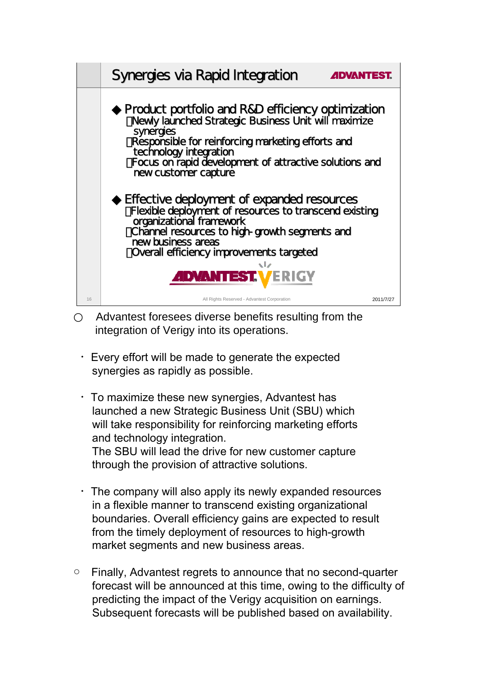

Advantest foresees diverse benefits resulting from the integration of Verigy into its operations.

- ・Every effort will be made to generate the expected synergies as rapidly as possible.
- ・To maximize these new synergies, Advantest has launched a new Strategic Business Unit (SBU) which will take responsibility for reinforcing marketing efforts and technology integration. The SBU will lead the drive for new customer capture through the provision of attractive solutions.
- The company will also apply its newly expanded resources in a flexible manner to transcend existing organizational boundaries. Overall efficiency gains are expected to result from the timely deployment of resources to high-growth market segments and new business areas.
- Finally, Advantest regrets to announce that no second-quarter forecast will be announced at this time, owing to the difficulty of predicting the impact of the Verigy acquisition on earnings. Subsequent forecasts will be published based on availability.